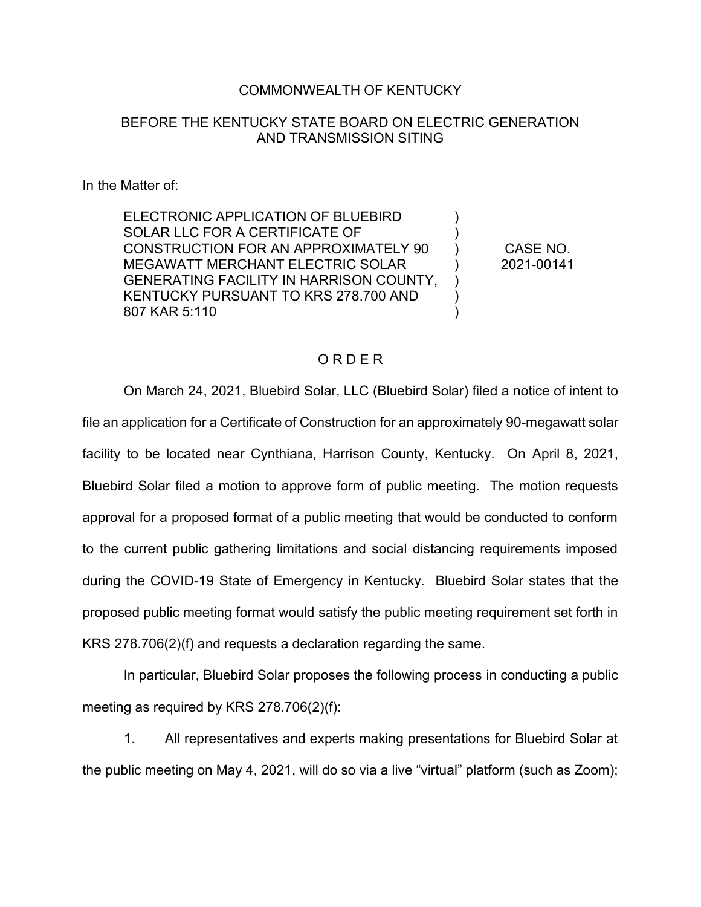## COMMONWEALTH OF KENTUCKY

## BEFORE THE KENTUCKY STATE BOARD ON ELECTRIC GENERATION AND TRANSMISSION SITING

## In the Matter of:

ELECTRONIC APPLICATION OF BLUEBIRD SOLAR LLC FOR A CERTIFICATE OF CONSTRUCTION FOR AN APPROXIMATELY 90 MEGAWATT MERCHANT ELECTRIC SOLAR GENERATING FACILITY IN HARRISON COUNTY, KENTUCKY PURSUANT TO KRS 278.700 AND 807 KAR 5:110

CASE NO. 2021-00141

) ) ) ) ) ) )

## O R D E R

On March 24, 2021, Bluebird Solar, LLC (Bluebird Solar) filed a notice of intent to file an application for a Certificate of Construction for an approximately 90-megawatt solar facility to be located near Cynthiana, Harrison County, Kentucky. On April 8, 2021, Bluebird Solar filed a motion to approve form of public meeting. The motion requests approval for a proposed format of a public meeting that would be conducted to conform to the current public gathering limitations and social distancing requirements imposed during the COVID-19 State of Emergency in Kentucky. Bluebird Solar states that the proposed public meeting format would satisfy the public meeting requirement set forth in KRS 278.706(2)(f) and requests a declaration regarding the same.

In particular, Bluebird Solar proposes the following process in conducting a public meeting as required by KRS 278.706(2)(f):

1. All representatives and experts making presentations for Bluebird Solar at the public meeting on May 4, 2021, will do so via a live "virtual" platform (such as Zoom);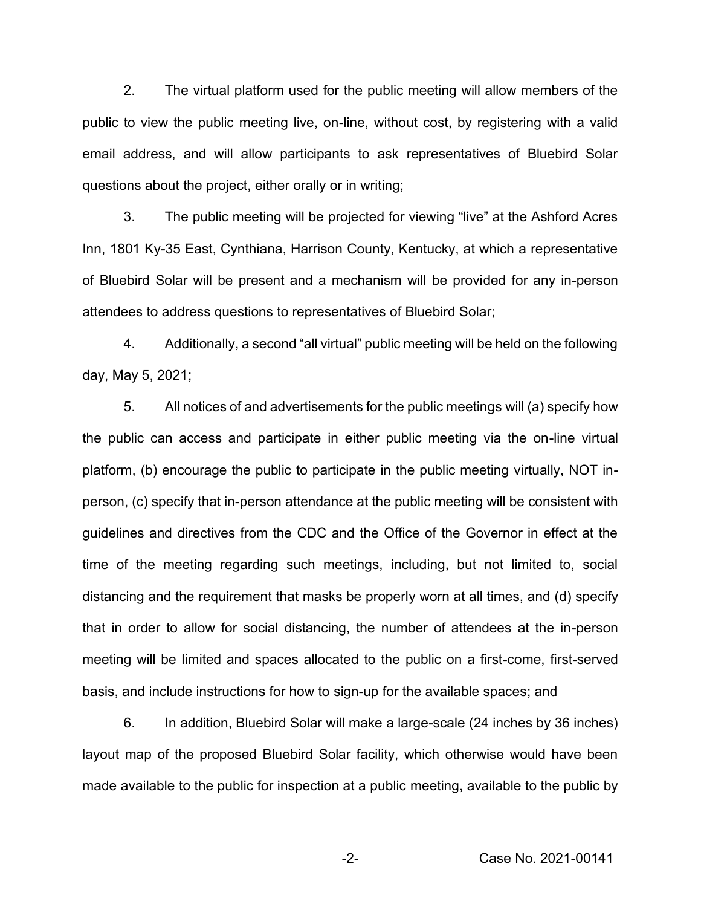2. The virtual platform used for the public meeting will allow members of the public to view the public meeting live, on-line, without cost, by registering with a valid email address, and will allow participants to ask representatives of Bluebird Solar questions about the project, either orally or in writing;

3. The public meeting will be projected for viewing "live" at the Ashford Acres Inn, 1801 Ky-35 East, Cynthiana, Harrison County, Kentucky, at which a representative of Bluebird Solar will be present and a mechanism will be provided for any in-person attendees to address questions to representatives of Bluebird Solar;

4. Additionally, a second "all virtual" public meeting will be held on the following day, May 5, 2021;

5. All notices of and advertisements for the public meetings will (a) specify how the public can access and participate in either public meeting via the on-line virtual platform, (b) encourage the public to participate in the public meeting virtually, NOT inperson, (c) specify that in-person attendance at the public meeting will be consistent with guidelines and directives from the CDC and the Office of the Governor in effect at the time of the meeting regarding such meetings, including, but not limited to, social distancing and the requirement that masks be properly worn at all times, and (d) specify that in order to allow for social distancing, the number of attendees at the in-person meeting will be limited and spaces allocated to the public on a first-come, first-served basis, and include instructions for how to sign-up for the available spaces; and

6. In addition, Bluebird Solar will make a large-scale (24 inches by 36 inches) layout map of the proposed Bluebird Solar facility, which otherwise would have been made available to the public for inspection at a public meeting, available to the public by

-2- Case No. 2021-00141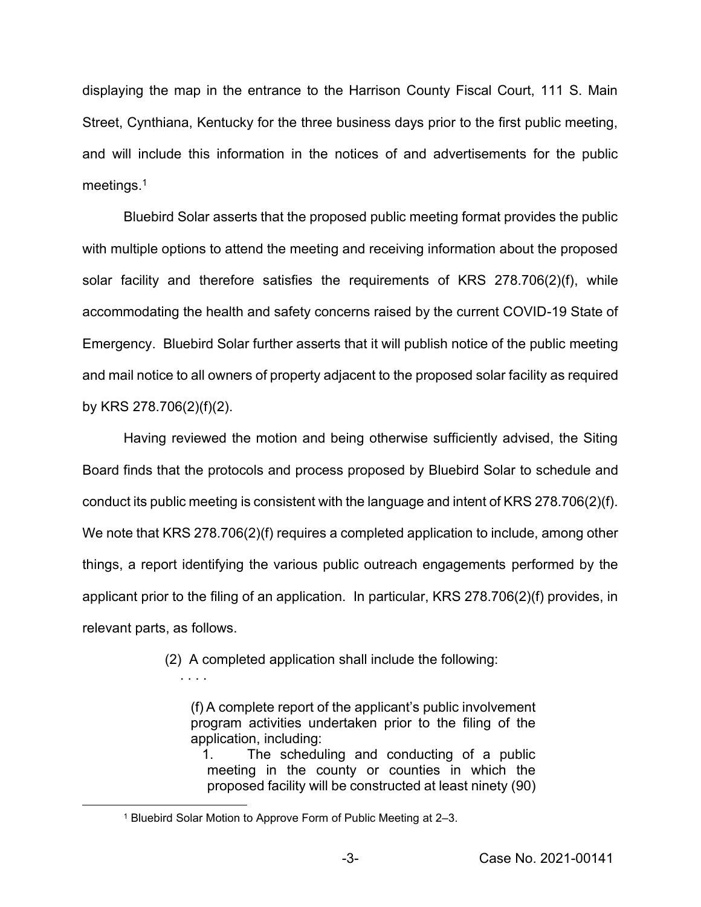displaying the map in the entrance to the Harrison County Fiscal Court, 111 S. Main Street, Cynthiana, Kentucky for the three business days prior to the first public meeting, and will include this information in the notices of and advertisements for the public meetings.<sup>1</sup>

Bluebird Solar asserts that the proposed public meeting format provides the public with multiple options to attend the meeting and receiving information about the proposed solar facility and therefore satisfies the requirements of KRS 278.706(2)(f), while accommodating the health and safety concerns raised by the current COVID-19 State of Emergency. Bluebird Solar further asserts that it will publish notice of the public meeting and mail notice to all owners of property adjacent to the proposed solar facility as required by KRS 278.706(2)(f)(2).

Having reviewed the motion and being otherwise sufficiently advised, the Siting Board finds that the protocols and process proposed by Bluebird Solar to schedule and conduct its public meeting is consistent with the language and intent of KRS 278.706(2)(f). We note that KRS 278.706(2)(f) requires a completed application to include, among other things, a report identifying the various public outreach engagements performed by the applicant prior to the filing of an application. In particular, KRS 278.706(2)(f) provides, in relevant parts, as follows.

(2) A completed application shall include the following:

(f) A complete report of the applicant's public involvement program activities undertaken prior to the filing of the application, including:

1. The scheduling and conducting of a public meeting in the county or counties in which the proposed facility will be constructed at least ninety (90)

. . . .

<sup>1</sup> Bluebird Solar Motion to Approve Form of Public Meeting at 2–3.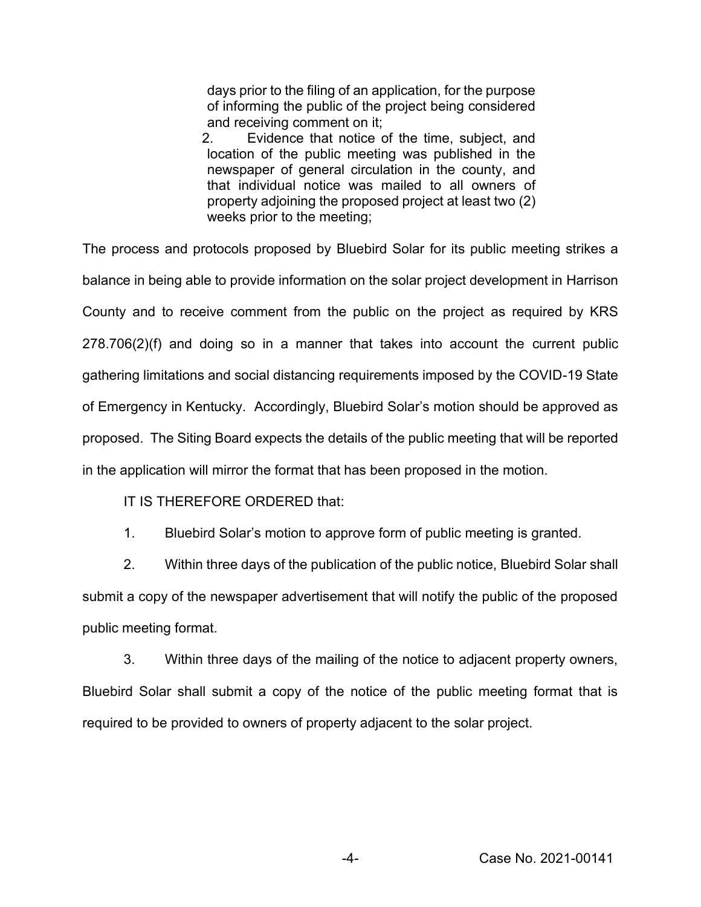days prior to the filing of an application, for the purpose of informing the public of the project being considered and receiving comment on it;

2. Evidence that notice of the time, subject, and location of the public meeting was published in the newspaper of general circulation in the county, and that individual notice was mailed to all owners of property adjoining the proposed project at least two (2) weeks prior to the meeting;

The process and protocols proposed by Bluebird Solar for its public meeting strikes a balance in being able to provide information on the solar project development in Harrison County and to receive comment from the public on the project as required by KRS 278.706(2)(f) and doing so in a manner that takes into account the current public gathering limitations and social distancing requirements imposed by the COVID-19 State of Emergency in Kentucky. Accordingly, Bluebird Solar's motion should be approved as proposed. The Siting Board expects the details of the public meeting that will be reported in the application will mirror the format that has been proposed in the motion.

IT IS THEREFORE ORDERED that:

1. Bluebird Solar's motion to approve form of public meeting is granted.

2. Within three days of the publication of the public notice, Bluebird Solar shall submit a copy of the newspaper advertisement that will notify the public of the proposed public meeting format.

3. Within three days of the mailing of the notice to adjacent property owners, Bluebird Solar shall submit a copy of the notice of the public meeting format that is required to be provided to owners of property adjacent to the solar project.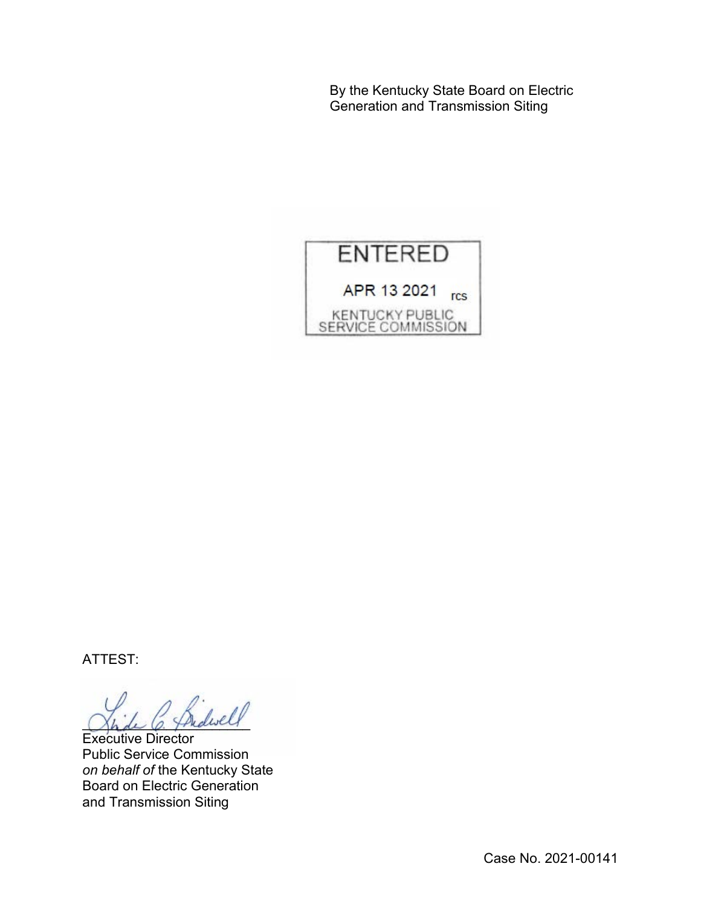By the Kentucky State Board on Electric Generation and Transmission Siting



ATTEST:

 $\Delta$ 

Executive Director Public Service Commission *on behalf of* the Kentucky State Board on Electric Generation and Transmission Siting